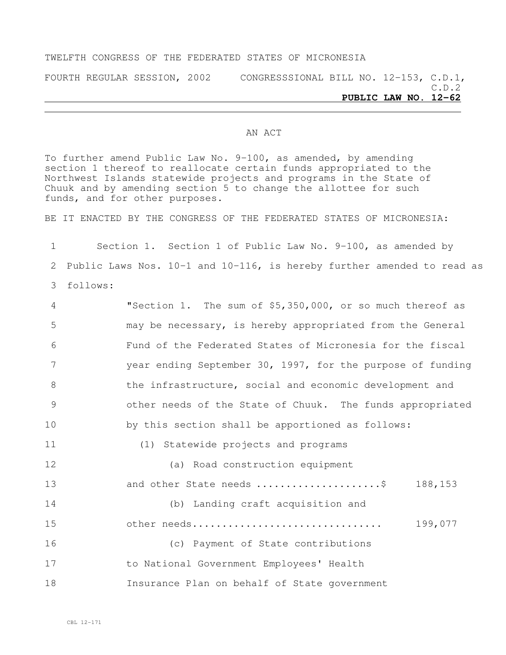### TWELFTH CONGRESS OF THE FEDERATED STATES OF MICRONESIA

FOURTH REGULAR SESSION, 2002 CONGRESSSIONAL BILL NO. 12-153, C.D.1, C.D.2 **PUBLIC LAW NO. 12-62**

### AN ACT

To further amend Public Law No. 9-100, as amended, by amending section 1 thereof to reallocate certain funds appropriated to the Northwest Islands statewide projects and programs in the State of Chuuk and by amending section 5 to change the allottee for such funds, and for other purposes.

BE IT ENACTED BY THE CONGRESS OF THE FEDERATED STATES OF MICRONESIA:

1 Section 1. Section 1 of Public Law No. 9-100, as amended by 2 Public Laws Nos. 10-1 and 10-116, is hereby further amended to read as 3 follows:

 "Section 1. The sum of \$5,350,000, or so much thereof as may be necessary, is hereby appropriated from the General Fund of the Federated States of Micronesia for the fiscal year ending September 30, 1997, for the purpose of funding 8 the infrastructure, social and economic development and other needs of the State of Chuuk. The funds appropriated by this section shall be apportioned as follows: (1) Statewide projects and programs (a) Road construction equipment and other State needs .....................\$ 188,153

 (b) Landing craft acquisition and other needs................................ 199,077 (c) Payment of State contributions to National Government Employees' Health Insurance Plan on behalf of State government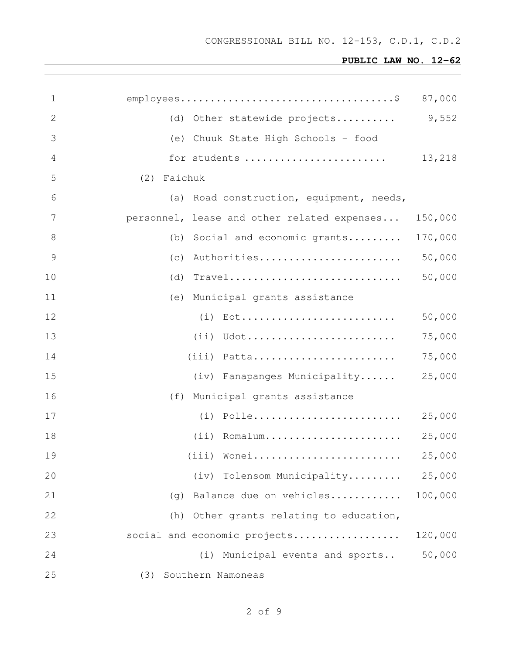| 1              |                                             | 87,000  |
|----------------|---------------------------------------------|---------|
| 2              | (d) Other statewide projects                | 9,552   |
| 3              | (e) Chuuk State High Schools - food         |         |
| $\overline{4}$ | for students                                | 13,218  |
| 5              | (2) Faichuk                                 |         |
| 6              | (a) Road construction, equipment, needs,    |         |
| 7              | personnel, lease and other related expenses | 150,000 |
| 8              | (b) Social and economic grants              | 170,000 |
| $\mathcal{G}$  | (c) Authorities                             | 50,000  |
| 10             | $(d)$ Travel                                | 50,000  |
| 11             | (e) Municipal grants assistance             |         |
| 12             | $(i)$ Eot                                   | 50,000  |
| 13             | $(i)$ Udot                                  | 75,000  |
| 14             | $(iii)$ Patta                               | 75,000  |
| 15             | (iv) Fanapanges Municipality                | 25,000  |
| 16             | (f) Municipal grants assistance             |         |
| 17             |                                             | 25,000  |
| 18             | $(i)$ Romalum                               | 25,000  |
| 19             | (iii) Wonei                                 | 25,000  |
| 20             | (iv) Tolensom Municipality                  | 25,000  |
| 21             | Balance due on vehicles<br>(q)              | 100,000 |
| 22             | Other grants relating to education,<br>(h)  |         |
| 23             | social and economic projects                | 120,000 |
| 24             | (i) Municipal events and sports             | 50,000  |
| 25             | Southern Namoneas<br>(3)                    |         |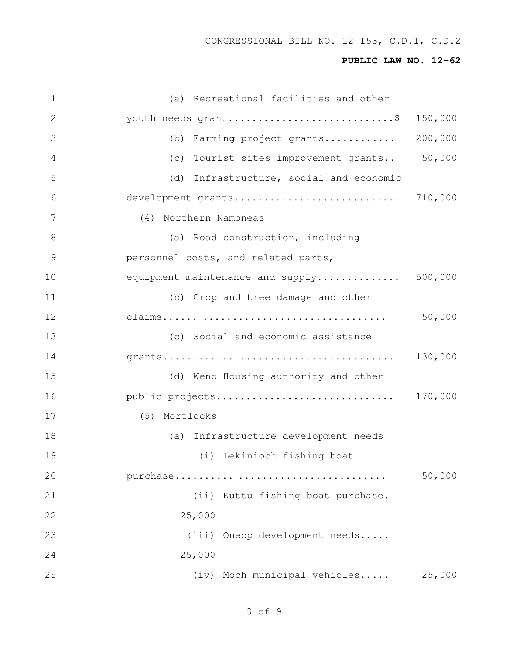| 1  | (a) Recreational facilities and other    |         |
|----|------------------------------------------|---------|
| 2  | youth needs grant\$                      | 150,000 |
| 3  | (b) Farming project grants               | 200,000 |
| 4  | (c) Tourist sites improvement grants     | 50,000  |
| 5  | (d) Infrastructure, social and economic  |         |
| 6  |                                          |         |
| 7  | (4) Northern Namoneas                    |         |
| 8  | (a) Road construction, including         |         |
| 9  | personnel costs, and related parts,      |         |
| 10 | equipment maintenance and supply 500,000 |         |
| 11 | (b) Crop and tree damage and other       |         |
| 12 |                                          | 50,000  |
| 13 | (c) Social and economic assistance       |         |
| 14 |                                          | 130,000 |
| 15 | (d) Weno Housing authority and other     |         |
| 16 | public projects                          | 170,000 |
| 17 | (5) Mortlocks                            |         |
| 18 | (a) Infrastructure development needs     |         |
| 19 | (i) Lekinioch fishing boat               |         |
| 20 |                                          | 50,000  |
| 21 | (ii) Kuttu fishing boat purchase.        |         |
| 22 | 25,000                                   |         |
| 23 | (iii) Oneop development needs            |         |
| 24 | 25,000                                   |         |
| 25 | (iv) Moch municipal vehicles             | 25,000  |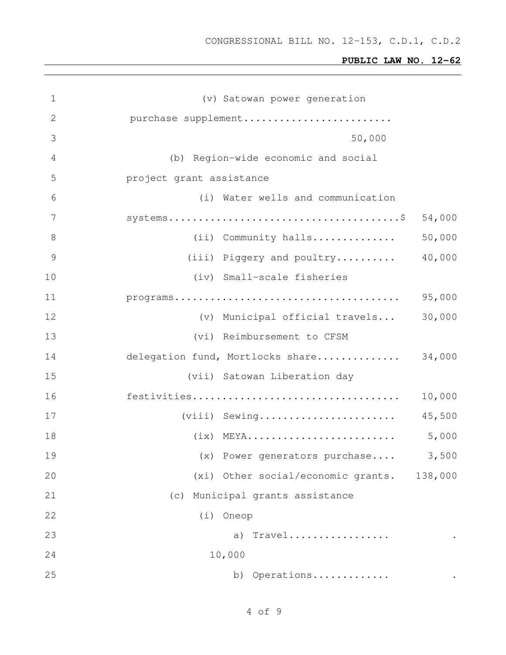| $\mathbf 1$    | (v) Satowan power generation               |
|----------------|--------------------------------------------|
| $\mathbf{2}$   | purchase supplement                        |
| 3              | 50,000                                     |
| $\overline{4}$ | (b) Region-wide economic and social        |
| 5              | project grant assistance                   |
| 6              | (i) Water wells and communication          |
| 7              | 54,000                                     |
| 8              | 50,000<br>(ii) Community halls             |
| $\mathcal{G}$  | 40,000<br>(iii) Piggery and poultry        |
| $10$           | (iv) Small-scale fisheries                 |
| 11             | 95,000                                     |
| 12             | 30,000<br>(v) Municipal official travels   |
| 13             | (vi) Reimbursement to CFSM                 |
| 14             | delegation fund, Mortlocks share<br>34,000 |
| 15             | (vii) Satowan Liberation day               |
| 16             | 10,000                                     |
| 17             | (viii) Sewing<br>45,500                    |
| 18             | 5,000                                      |
| 19             | 3,500<br>(x) Power generators purchase     |
| 20             | (xi) Other social/economic grants. 138,000 |
| 21             | Municipal grants assistance<br>(c)         |
| 22             | (i) Oneop                                  |
| 23             | Travel<br>a)                               |
| 24             | 10,000                                     |
| 25             | b) Operations                              |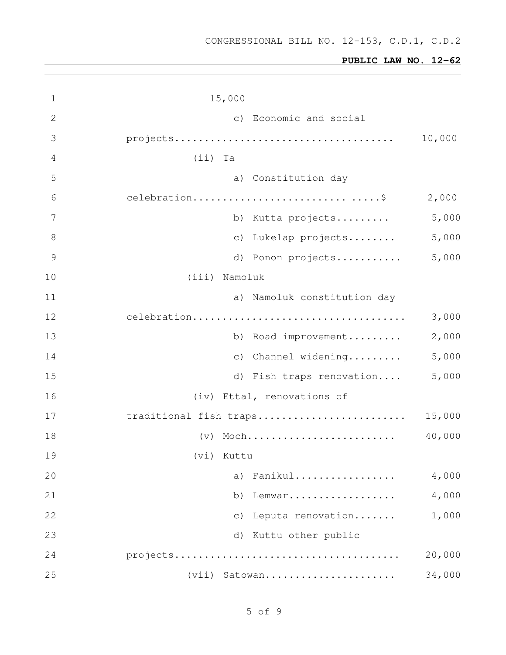| 1             | 15,000                           |        |
|---------------|----------------------------------|--------|
| $\mathbf{2}$  | c) Economic and social           |        |
| 3             |                                  | 10,000 |
| 4             | $(i)$ Ta                         |        |
| 5             | a) Constitution day              |        |
| 6             |                                  | 2,000  |
| 7             | b) Kutta projects                | 5,000  |
| $8\,$         | Lukelap projects<br>$\circ$ )    | 5,000  |
| $\mathcal{G}$ | d) Ponon projects                | 5,000  |
| 10            | (iii) Namoluk                    |        |
| 11            | a) Namoluk constitution day      |        |
| 12            |                                  | 3,000  |
| 13            | b) Road improvement              | 2,000  |
| 14            | Channel widening<br>$\circ$ )    | 5,000  |
| 15            | d) Fish traps renovation         | 5,000  |
| 16            | (iv) Ettal, renovations of       |        |
| 17            | traditional fish traps           | 15,000 |
| 18            | $(v)$ Moch                       | 40,000 |
| 19            | (vi) Kuttu                       |        |
| 20            | Fanikul<br>a)                    | 4,000  |
| 21            | b)<br>Lemwar                     | 4,000  |
| 22            | Leputa renovation<br>$\subset$ ) | 1,000  |
| 23            | Kuttu other public<br>d)         |        |
| 24            |                                  | 20,000 |
| 25            | (vii) Satowan                    | 34,000 |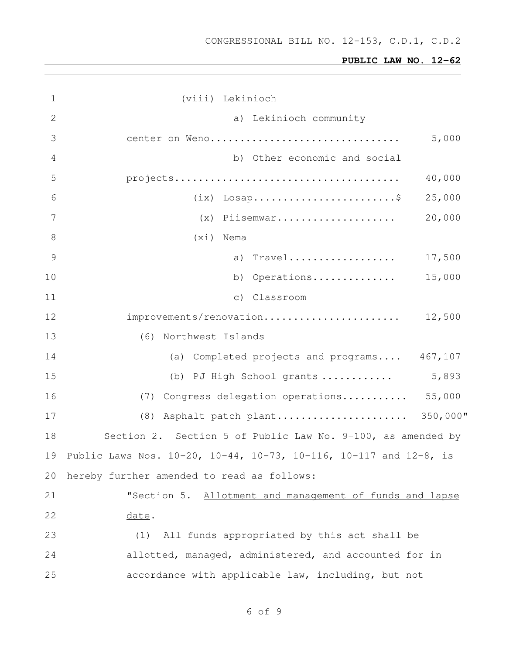| $\mathbf 1$ | (viii) Lekinioch                                                  |
|-------------|-------------------------------------------------------------------|
| 2           | a) Lekinioch community                                            |
| 3           | 5,000<br>center on Weno                                           |
| 4           | b) Other economic and social                                      |
| 5           | 40,000                                                            |
| 6           | 25,000<br>$(ix)$ Losap\$                                          |
| 7           | 20,000<br>$(x)$ Piisemwar                                         |
| 8           | (xi) Nema                                                         |
| 9           | a) Travel<br>17,500                                               |
| 10          | 15,000<br>b) Operations                                           |
| 11          | c) Classroom                                                      |
| 12          | improvements/renovation<br>12,500                                 |
| 13          | (6) Northwest Islands                                             |
| 14          | (a) Completed projects and programs 467,107                       |
| 15          | 5,893<br>(b) PJ High School grants                                |
| 16          | (7) Congress delegation operations 55,000                         |
| 17          | (8) Asphalt patch plant 350,000"                                  |
| 18          | Section 2. Section 5 of Public Law No. 9-100, as amended by       |
| 19          | Public Laws Nos. 10-20, 10-44, 10-73, 10-116, 10-117 and 12-8, is |
| 20          | hereby further amended to read as follows:                        |
| 21          | "Section 5. Allotment and management of funds and lapse           |
| 22          | date.                                                             |
| 23          | All funds appropriated by this act shall be<br>(1)                |
| 24          | allotted, managed, administered, and accounted for in             |
| 25          | accordance with applicable law, including, but not                |
|             |                                                                   |

# of 9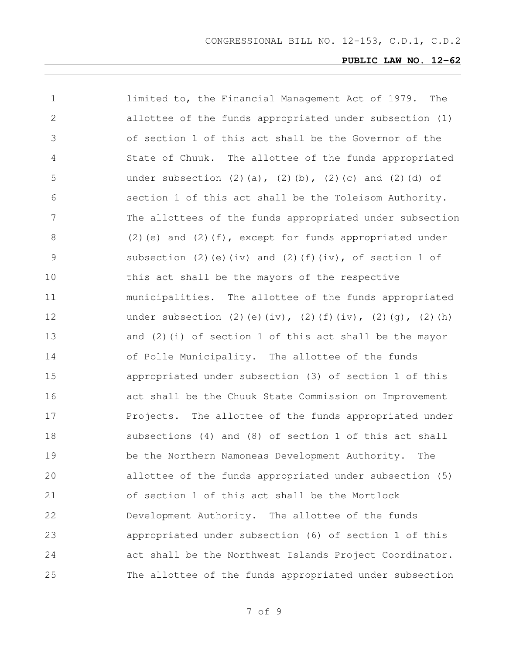| 1             | limited to, the Financial Management Act of 1979.<br>The                    |
|---------------|-----------------------------------------------------------------------------|
| $\mathbf{2}$  | allottee of the funds appropriated under subsection (1)                     |
| 3             | of section 1 of this act shall be the Governor of the                       |
| 4             | State of Chuuk. The allottee of the funds appropriated                      |
| 5             | under subsection $(2)$ $(a)$ , $(2)$ $(b)$ , $(2)$ $(c)$ and $(2)$ $(d)$ of |
| 6             | section 1 of this act shall be the Toleisom Authority.                      |
| 7             | The allottees of the funds appropriated under subsection                    |
| 8             | $(2)$ (e) and $(2)$ (f), except for funds appropriated under                |
| $\mathcal{G}$ | subsection (2) (e) (iv) and (2) (f) (iv), of section $1$ of                 |
| 10            | this act shall be the mayors of the respective                              |
| 11            | municipalities. The allottee of the funds appropriated                      |
| 12            | under subsection (2)(e)(iv), (2)(f)(iv), (2)(g), (2)(h)                     |
| 13            | and $(2)$ (i) of section 1 of this act shall be the mayor                   |
| 14            | of Polle Municipality. The allottee of the funds                            |
| 15            | appropriated under subsection (3) of section 1 of this                      |
| 16            | act shall be the Chuuk State Commission on Improvement                      |
| 17            | Projects. The allottee of the funds appropriated under                      |
| 18            | subsections (4) and (8) of section 1 of this act shall                      |
| 19            | be the Northern Namoneas Development Authority.<br>The                      |
| 20            | allottee of the funds appropriated under subsection (5)                     |
| 21            | of section 1 of this act shall be the Mortlock                              |
| 22            | Development Authority. The allottee of the funds                            |
| 23            | appropriated under subsection (6) of section 1 of this                      |
| 24            | act shall be the Northwest Islands Project Coordinator.                     |
| 25            | The allottee of the funds appropriated under subsection                     |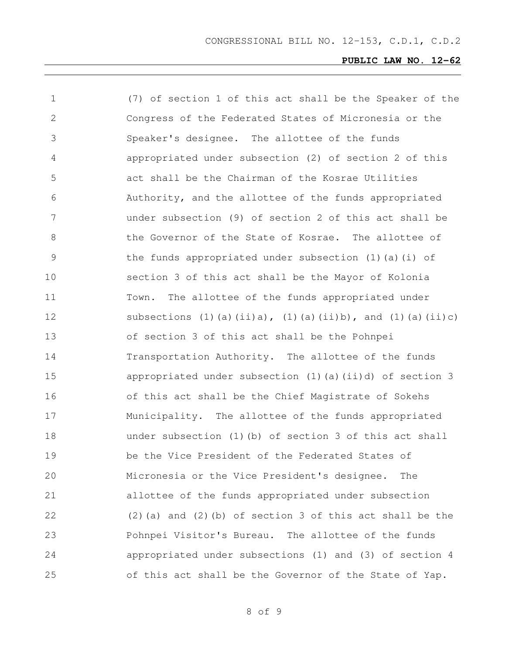| $\mathbf 1$   | (7) of section 1 of this act shall be the Speaker of the                    |
|---------------|-----------------------------------------------------------------------------|
| 2             | Congress of the Federated States of Micronesia or the                       |
| 3             | Speaker's designee. The allottee of the funds                               |
| 4             | appropriated under subsection (2) of section 2 of this                      |
| 5             | act shall be the Chairman of the Kosrae Utilities                           |
| 6             | Authority, and the allottee of the funds appropriated                       |
| 7             | under subsection (9) of section 2 of this act shall be                      |
| 8             | the Governor of the State of Kosrae. The allottee of                        |
| $\mathcal{G}$ | the funds appropriated under subsection $(1)$ $(a)$ $(i)$ of                |
| 10            | section 3 of this act shall be the Mayor of Kolonia                         |
| 11            | The allottee of the funds appropriated under<br>Town.                       |
| 12            | subsections $(1)$ (a) $(ii)a$ , $(1)$ (a) $(ii)b$ , and $(1)$ (a) $(ii)c$ ) |
| 13            | of section 3 of this act shall be the Pohnpei                               |
| 14            | Transportation Authority. The allottee of the funds                         |
| 15            | appropriated under subsection (1)(a)(ii)d) of section 3                     |
| 16            | of this act shall be the Chief Magistrate of Sokehs                         |
| 17            | Municipality. The allottee of the funds appropriated                        |
| 18            | under subsection (1) (b) of section 3 of this act shall                     |
| 19            | be the Vice President of the Federated States of                            |
| 20            | Micronesia or the Vice President's designee.<br>The                         |
| 21            | allottee of the funds appropriated under subsection                         |
| 22            | $(2)$ (a) and $(2)$ (b) of section 3 of this act shall be the               |
| 23            | Pohnpei Visitor's Bureau. The allottee of the funds                         |
| 24            | appropriated under subsections (1) and (3) of section 4                     |
| 25            | of this act shall be the Governor of the State of Yap.                      |

of 9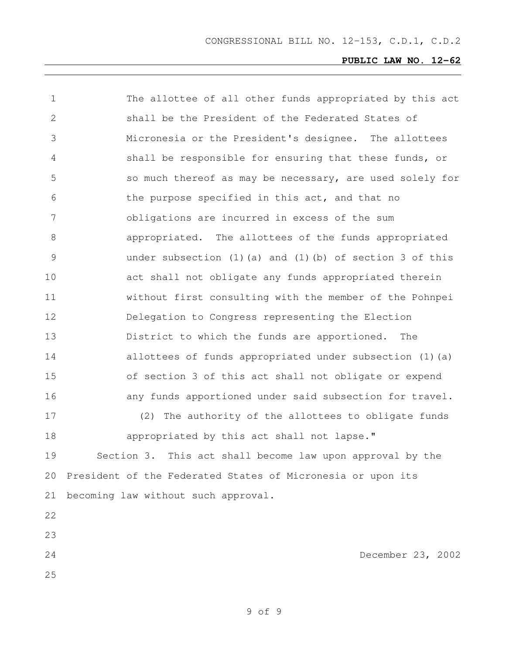| $\mathbf 1$ | The allottee of all other funds appropriated by this act          |
|-------------|-------------------------------------------------------------------|
| 2           | shall be the President of the Federated States of                 |
| 3           | Micronesia or the President's designee. The allottees             |
| 4           | shall be responsible for ensuring that these funds, or            |
| 5           | so much thereof as may be necessary, are used solely for          |
| 6           | the purpose specified in this act, and that no                    |
| 7           | obligations are incurred in excess of the sum                     |
| 8           | appropriated. The allottees of the funds appropriated             |
| 9           | under subsection $(1)$ $(a)$ and $(1)$ $(b)$ of section 3 of this |
| 10          | act shall not obligate any funds appropriated therein             |
| 11          | without first consulting with the member of the Pohnpei           |
| 12          | Delegation to Congress representing the Election                  |
| 13          | District to which the funds are apportioned.<br>The               |
| 14          | allottees of funds appropriated under subsection (1) (a)          |
| 15          | of section 3 of this act shall not obligate or expend             |
| 16          | any funds apportioned under said subsection for travel.           |
| 17          | (2) The authority of the allottees to obligate funds              |
| 18          | appropriated by this act shall not lapse."                        |
| 19          | Section 3. This act shall become law upon approval by the         |
| 20          | President of the Federated States of Micronesia or upon its       |
| 21          | becoming law without such approval.                               |
| 22          |                                                                   |
| 23          |                                                                   |
| 24          | December 23, 2002                                                 |
| 25          |                                                                   |
|             |                                                                   |